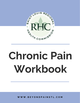

# **Chronic Pain Workbook**

**W W W . B E Y O N D P A I N S T L . C O M**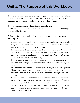#### **Unit 1: The Purpose of this Workbook**

This workbook may have found its way into your life from your doctor, a friend, or even an internet search. Regardless, if you're reading this now, it is likely because you or someone you love is living with chronic pain.

This workbook combines science-based education and reflection opportunities to help individuals with chronic pain understand and manage their condition better.

Before we dive in, let's make a few things clear about this workbook and chronic pain:

- These pages may introduce you to new ideas about how your pain works. They might even challenge previous beliefs. If you approach this workbook with an open mind, you can get a lot out of it.
- To be in pain or always expecting another painful moment is stressful and takes a lot of courage. To continue looking for help, despite frustration or setbacks, requires a lot of strength and a lot of heart. We know that your pain is real and can be difficult to carry.
- This workbook's goal is to help you get more meaning, value, and joy in daily life. It also will give you steps to create a sense of power over your pain.
- This workbook and its tools, like many parts of life, will not be a "quick fix." Change will require small actions every day for weeks. If you give enough time and attention to the practices in this workbook, changes will likely happen.
- A step forward will be accepting your chronic pain and your role as the expert of your own pain. Doctors, physical therapists, and your friends and family are there to help you along the way, but you are the hero in this process of learning how to best live. Considering the amount of bravery you have already shown in dealing with chronic pain, you have it within you to do this rewarding work.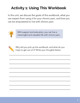# **Activity 1: Using This Workbook**

In this unit, we discuss the goals of this workbook, what you can expect from using it for your chronic pain, and how you can be empowered to live with chronic pain.



With support and education, you can live a meaningful and valuable life with chronic pain.



Why did you pick up this workbook, and what do you hope to get out of it? Write your thoughts below.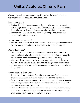#### **Unit 2: Acute vs. Chronic Pain**

When we think about pain and why it exists, it's helpful to understand the differences between acute pain and chronic pain.

What is acute pain?

- Acute pain, which happens suddenly from an injury, can act as a useful warning signal that danger is present. After stopping whatever caused the initial injury, the pain gradually goes away in several days or weeks.
- For example, when you touch a hot stove, acute pain warns you that something harmful is happening.

How do you treat acute pain?

The best treatment for acute pain is usually rest of the injured area to allow for healing and potentially pain medications of different strengths.

What is chronic pain?

- Chronic pain lasts for three or more months and can occur for many reasons: after an injury, from inflammation (swelling), or from a change in how our brain understands messages from the rest of the body.
- When pain becomes chronic, there is no longer a threat, and the alarm may be "stuck in the on-mode" or detecting danger when there is none.
- For example, chronic pain could be pain in your lower back that has lasted for six months.

How do you treat chronic pain?

- The cause of chronic pain is often difficult to find, and figuring out the cause doesn't always change the best way to treat and manage it.
- For chronic pain, movement and activity are important to improve function. Short-term pain medications do not necessarily lessen chronic pain and may even make chronic pain worse.
- We cannot wait for the pain to lessen before returning to normal activities in our lives. Chronic pain might change over time, but waiting for it to go away is usually not a possible long-term solution.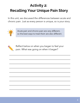# **Activity 2: Recalling Your Unique Pain Story**

In this unit, we discussed the differences between acute and chronic pain. Just as every person is unique, so is your story.



Acute pain and chronic pain are very different, so the best ways to treat them are also different.



Reflect below on when you began to feel your pain. What was going on when it began?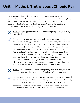#### **Unit 3: Myths & Truths about Chronic Pain**

Because our understanding of pain is an ongoing science and is very complicated, this workbook cannot address all aspects of pain. However, here we present three of the most common myths about chronic pain. Many doctors and patients may mistakenly believe in these myths, but they are untrue and can get in the way of managing your chronic pain.



Myth 1: Ongoing pain indicates that there is ongoing damage or injury to the body.

Fact: Ongoing pain does not necessarily mean that tissue damage or other harm is still happening in your body. In fact, many research studies have compared individuals with and without pain and then looked at their imaging (like X-rays or MRI's from clinical visits). Scientists found that there were many individuals with tissue "damage" or bone "abnormalities" who had no pain. They also found many patients with obvious pain who had nothing technically "wrong" or "abnormal" with their muscles or bones.<sup>i</sup> These studies showed scientists that just because someone has damage to a tissue or bone does not mean they will have pain, and just because someone has ongoing pain does not mean they will have a broken bone or damaged body part.

Myth 2: If a doctor can't find something wrong with your body from lab testing or imaging, then your pain isn't real or it's "all in your head."



Fact: Although the study of pain is advancing every day, many aspects of pain remain a mystery. Additionally, the experience of pain is affected by many things, as you can see in the picture on the next page. Just because an image or lab test doesn't give an exact reason for pain does not mean that your pain is any less "real" or deeply challenging.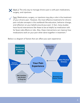Myth 3: The only way to manage chronic pain is with pain medications, surgery, and injections.

Fact: Medications, surgery, or injections may play a role in the treatment of your chronic pain. However, the most effective treatments for chronic pain include concepts in this workbook like education, behavior change, and reflection on your beliefs around your pain. In fact, many studies have found interventions like these to be as helpful as medication with far fewer side effects or risks. Also, these interventions can improve how medications work on your pain when done together in treatment. <sup>ii</sup>

Below is a diagram of factors that can affect your pain experience.

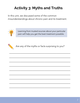# **Activity 3: Myths and Truths**

In this unit, we discussed some of the common misunderstandings about chronic pain and its treatment.



Learning from trusted sources about your particular pain will help you get the best treatment possible.



Are any of the myths or facts surprising to you?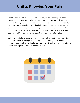### **Unit 4: Knowing Your Pain**

Chronic pain can often seem like an ongoing, never-changing challenge. However, your pain most likely changes throughout the day and weeks, and there is likely a pattern to your pain. If you increase your knowledge about your pain, you can increase behaviors that help your pain and limit activities that cause more pain or stress. Additionally, chronic pain can often bring with it many unwelcome friends, such as chronic tiredness, muscle tension, stress, or bad moods. It's important to pay attention to these symptoms, too.

By being mindful and tracking when your pain is the worst, what it feels like, and what events or feelings seem to trigger your pain, you will be more empowered to act in ways that lessen your pain. Overall, you will have a better understanding of how to best care for yourself.

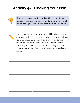### **Activity 4A: Tracking Your Pain**



The more you can understand and learn about your personal pain experience, the better prepared you will be to manage your pain with tools from this workbook.



In the table on the next page, you will be able to track your pain for the next 7 days. Tracking your pain will give you information to look back on and find patterns in your day-to-day life. In the space below, reflect on some patterns you've already noticed related to your pain times of day it flares (gets worse), what helps, and what worsens it.

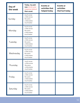| Day of<br>the week | Today, my pain<br>was (circle your<br>response below)<br>than usual.       | <b>Events or</b><br>activities that<br>helped today | <b>Events or</b><br>activities<br>that hurt today |
|--------------------|----------------------------------------------------------------------------|-----------------------------------------------------|---------------------------------------------------|
| Sunday             | much worse<br>a little worse<br>the same<br>a little better<br>much better |                                                     |                                                   |
| Monday             | much worse<br>a little worse<br>the same<br>a little better<br>much better |                                                     |                                                   |
| Tuesday            | much worse<br>a little worse<br>the same<br>a little better<br>much better |                                                     |                                                   |
| Wednesday          | much worse<br>a little worse<br>the same<br>a little better<br>much better |                                                     |                                                   |
| Thursday           | much worse<br>a little worse<br>the same<br>a little better<br>much better |                                                     |                                                   |
| Friday             | much worse<br>a little worse<br>the same<br>a little better<br>much better |                                                     |                                                   |
| Saturday           | much worse<br>a little worse<br>the same<br>a little better<br>much better |                                                     |                                                   |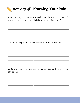

After tracking your pain for a week, look through your chart. Do you see any patterns, especially by time or activity type?

Are there any patterns between your mood and pain level?

Write any other notes or patterns you saw during the past week of tracking.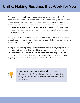#### **Unit 5: Making Routines that Work for You**

For many patients with chronic pain, managing daily tasks can be difficult because pain is tiring and unpredictable. On a "good day" (a day where pain is less present than usual), you may be tempted to do many activities and chores. After this extra busy day, your pain might be worse than normal. You may even become very tired for a few days after. This cycle of high activity followed by exhaustion and worse pain makes planning difficult. It can even make you feel stuck.

Ideally, your daily and weekly life has activities that you enjoy. You also need enough energy to do chores and take care of yourself. For that reason, pacing is an important idea and goal.

Pacing means creating a regular schedule that accounts for your pain, but is not ruled by it. Creating this type of flexible but goal-oriented plan will help you avoid the busy and exhausted cycle that is common for people with chronic pain. Pacing will mean asking yourself to do small, challenging tasks regularly. It also means allowing yourself enough rest and recovery.



After you practice pacing (living by a balanced schedule) for a little while, you might find you are slowly able to do activities that pain had previously interrupted.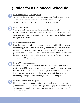### **5 Rules for a Balanced Schedule**



#### Rule 1: set SMART, inspiring goals

While it can be easy to start changes, it can be difficult to keep them going. Following through with goals can be easier when you use the SMART goal method (you will do this on the next page).



#### Rule 2: Start small

Changing daily habits can be challenging for everyone, but even more so for those with chronic pain. One tool to help you increase useful and enjoyable activities is to start with very small, easy habits. Building small changes slowly works!

#### Rule 3: Practice consistency

Even though you may be taking small steps, there will still be discomfort in changing your behavior. Consistency means sticking with your plans, despite the discomfort. As a note, we use the word "discomfort" on purpose, and not "increased pain" or "exhaustion." If the difficulty goes beyond discomfort, your small steps may be too big for right now, and you may need to pace yourself.



#### Rule 4: Overcome setbacks

In almost any form of behavior change, setbacks can happen. In the past, you might have tried to do too many things at once and then quit because of exhaustion. For your SMART goal, we want to plan for when things do NOT go to as planned and how to keep trying. Effort is everything. Doing 80% of something is better than doing none of it!

#### Rule 5: Celebrate your progress

Having a place to track and celebrate your small accomplishments is a great practice. The work you're doing is challenging. Each day that you set out and accomplish your task, you have something to be proud of and to celebrate!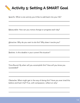# **Activity 5: Setting A SMART Goal**

Specific: What is one activity you'd like to add back into your life?

Measurable: How can you notice change or progress each day?

Attractive: Why do you want to do this? Why does it excite you?  $\mathcal{L}_\text{max}$  and  $\mathcal{L}_\text{max}$  and  $\mathcal{L}_\text{max}$  are the set of the set of the set of the set of the set of the set of the set of the set of the set of the set of the set of the set of the set of the set of the set of th

Realistic: Is this doable in your current life situation?

Time Bound: By when will you accomplish this? How will you know you succeeded?

Obstacles: What might get in the way of doing this? Have you ever tried this before and had it fail? If so, with compassion, reflect on why!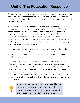#### **Unit 6: The Relaxation Response**

Pacing your activities, taking small steps, and figuring out how to balance tasks with rest is very important to take back control from your pain. To keep this cycle balanced, it can be helpful to learn more about how regular rest can help your chronic pain.

Maybe before reading this workbook, you had heard of the importance of relaxing your body's nervous system to help your chronic pain. Our nervous system has two main responses: the parasympathetic and sympathetic responses. The sympathetic response is our active, "fight-or-flight" response. It is our stress response and includes sweating, a faster heartbeat, and feeling tense. The parasympathetic response is the relaxed, "rest and digest" system. It is the system used when there is no danger and includes deep breathing, a slower heartbeat, and feeling peaceful.

Pain can cause the body to always be stressed, or always be in the "on high alert" mode of the sympathetic response. This can partially explain the symptoms that happen with your chronic pain: muscle tension, tiredness, sleeplessness, or bad moods.

Additionally, the more our brains are threatened or on high alert, the more often we interpret sensations from the body as painful. This connection between stress, pain, and threat detection can be a terrible cycle. It is also the reason behind why people with a history of trauma (i.e. deeply upsetting emotional or physical events or harm) may have worse chronic pain; their brains and bodies have trouble relaxing. Though this is a complicated subject, the good news is that science has tools to help you tap into your resting state and into relaxation.



When you practice relaxation exercises (like the ones on the next two pages) for a few minutes every day, your chronic pain can decrease and the related symptoms can improve as well.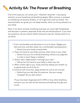# **Activity 6A: The Power of Breathing**

One of the ways you can access your "relaxation response" is by paying attention to your breathing and breathing deeply. When anxious or stressed, our breathing can become shallow, or we might even hold our breath. The exercise below can guide you into deep breaths, which can bring relaxation to your body.

Note: If not done correctly, breathing exercises can cause light-headedness and dizziness in patients, especially those with low blood pressure. If you have any questions, ask your doctor before doing this exercise. Always stand or sit up slowly.

- 1. Find a comfortable and safe place to sit or lie down. Wiggle your feet and arms, and then settle into a comfortable resting position.
	- Notice how your body currently feels.
- 2. Place one hand on your belly and your other hand on your chest.
	- Notice how you are currently breathing, without any judgment. Is it fast or slow? Deep or shallow?
- 3. Slowly, take a deep breath in through your nose.\*
	- Notice how the hand on your belly or chest may rise.
- When it feels right to you, slowly and fully release your breath; try 4. to gently push out all of the air.
- Continue with more slow, deep breaths for one to ten minutes. 5.
	- Notice how you feel after this exercise. Has your energy changed? Do you feel calmer?

\*If you have been diagnosed with COPD or have other breathing concerns, you can also do this exercise by breathing through your mouth.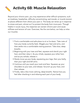**Activity 6B: Muscle Relaxation**

Beyond your chronic pain, you may experience other difficult symptoms, such as tiredness, headaches, difficulty concentrating, sad moods, or muscle tension at places different from where your pain is. The body can tense up in response to stress and pain, almost as if to protect the body from more pain. Though helpful in acute injury, this response can worsen chronic pain and cause stiffness and tension all over. Exercises, like the one below, can help us relax our muscles.

- 1. Find a comfortable and safe place to sit or lie down. Take note of how your body currently feels. Wiggle your feet and arms, and then settle into a comfortable resting position. Take slow, deep breaths.
- 2. Beginning with your toes and feet, squeeze and clench your right foot, and then relax it. As you inhale, squeeze your other foot, and as you exhale, release it.
- Slowly move up your body, squeezing your legs, then your belly, 3. then your right and left arms.
- Continue until you reach your neck and face. Squeeze up your 4. shoulders to your ears, and release. Scrunch up your face, and then release.
- Finally, take a few more calming, deep breaths. Notice how you 5. feel after checking in and relaxing each part of your body.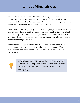### **Unit 7: Mindfulness**

Pain is a full body experience. Anyone who has experienced bad acute pain or chronic pain knows that ignoring it or "shaking it off" is impossible. Pain demands to be felt when it is happening. While we cannot simply ignore pain, the power of where we place our attention is important.

Mindfulness is the ability to be present to what is going on around and within you without judging or getting distracted by your thoughts. It can be helpful with chronic pain because it can help you separate the sensation of pain in your body. Mindfulness can also help you to continue past mild discomfort in pursuit of meaningful daily life.

Exploring the concept of mindfulness is a lifelong process, and it is not something you achieve, but rather a skill you work on every day! Try exploring the meditation on the next page as a simple introduction to mindfulness.



Mindfulness can help you lead a meaningful life by allowing you to separate the sensation of pain from your body and move past discomfort in a safe, healthy way.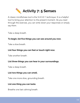

A classic mindfulness tool is the 5-4-3-2-1 technique. It is a helpful tool to bring your attention to the present moment. As you read through the exercise, you can write down your responses or simply say them.

Take a deep breath.

#### **To begin, list five things you can see around you now.**

Take a slow breath.

#### **List four things you can feel or touch right now.**

Take another breath.

#### **List three things you can hear in your surroundings.**

Take a deep breath.

#### **List two things you can smell.**

Take one more slow, grounding breath.

#### **List one thing you can taste.**

Breathe one last calming breath.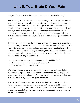#### **Unit 8: Your Brain & Your Pain**

Has your first impression about a person ever been completely wrong?

Here's a story. You meet a coworker at your new job. She is very quiet around you, but she seems more talkative around another colleague. You interpret her behavior as disinterest in you, and you begin to dislike her in return. A few months later, you begin to become friends during a project. You then ask her about your first few days on the job, and she explains that she was quiet because you intimidated her. All along, you have been holding a feeling of dislike and thinking she disliked you, when in reality, she thought you seemed great!

This scenario may seem unrelated to your chronic pain, but it is an example of how our thoughts and beliefs can influence the way we feel and experience the world. Our brain determines whether a bodily sensation is painful or not. This process is complex and not always something we are aware of. Therefore, our minds – specifically our thoughts and beliefs – play a big role in chronic pain management. You might be thinking…

- "My pain is the worst, and I'm always going to feel like this."
- "This pain means the treatment isn't working."
- "I can't do anything I care about!"

While these thoughts are understandable, they are also not true or helpful. Pain comes and goes. Treatments can take time to work, or they might work some days better than other days. Pain can stop the normal way you do things, but it can't take away everything good in your life.

The way we think about our pain impacts our feelings, hopes, and actions. Paying attention to our thoughts is an important component of living with chronic pain. The purpose is not to be sunny and positive all the time, or to try to deny our pain. Rather, the purpose is to keep perspective and to focus on what is true and helpful.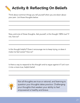# **Activity 8: Reflecting On Beliefs**

Think about common things you tell yourself when you are down about your pain. List those thoughts below.

Now, pick one of those thoughts. Ask yourself, is this thought 100% true? If not, how so?

Is this thought helpful? Does it encourage me to keep trying, or does it make me feel worse? How so?

Is there a way to respond to this thought and to argue against it? Let's turn it into a more true, helpful belief.



Not all thoughts are true or rational, and learning to question your thoughts takes practice. Challenging your thoughts that weaken your ability to feel empowered is healthy and brave.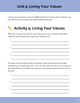#### **Unit 9: Living Your Values**

Life as you now know it may be different due to chronic pain. However, you can still live by the ideals you valued before the pain.

# **Activity 9: Living Your Values**

What are 3 values that are the most important to you, and why? Examples might be family, gratitude, enjoyment, strength, etc.

|    | <u> 1. januar - Januar Alexandria, martxa eta politikar</u>                                                                                                                                                                   |
|----|-------------------------------------------------------------------------------------------------------------------------------------------------------------------------------------------------------------------------------|
|    | the control of the control of the control of the control of the control of the control of the control of the control of the control of the control of the control of the control of the control of the control of the control |
| 3. |                                                                                                                                                                                                                               |
|    |                                                                                                                                                                                                                               |

For each of these values listed, brainstorm a few small actions that might represent you living by this value. You can also write the ways you've lived out this value before, and reflect on ways you can change those actions to fit your life now.

| the control of the control of the control of<br>2. _________ |
|--------------------------------------------------------------|
|                                                              |
|                                                              |
|                                                              |